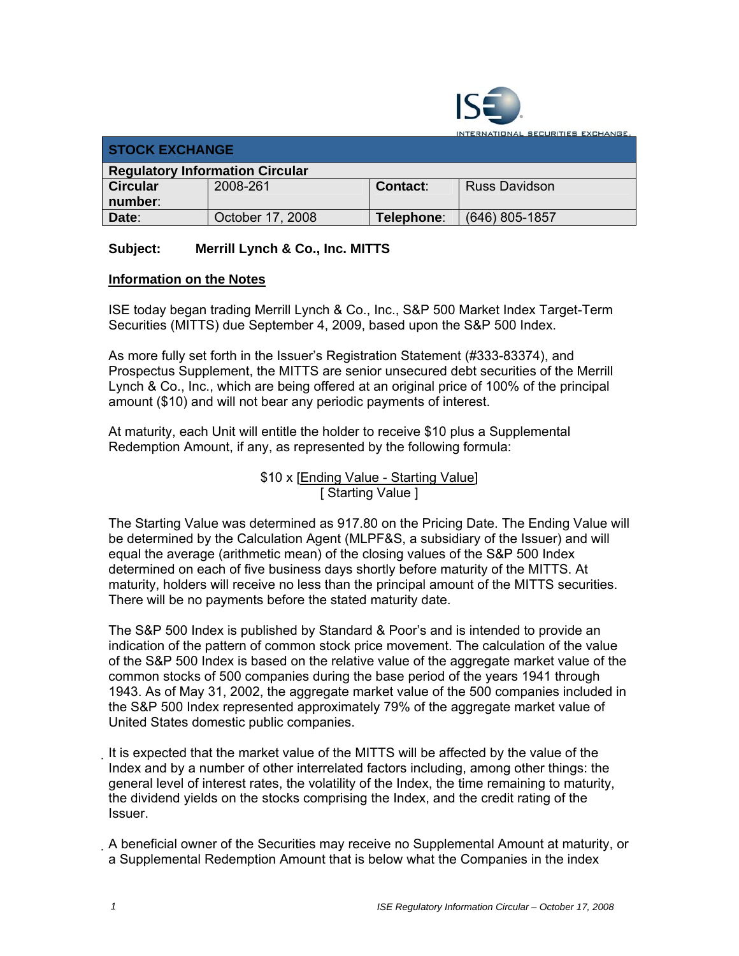

**ITERNATIONAL SECURITIES EXCHANGE.** 

| <b>STOCK EXCHANGE</b>                  |                  |            |                |  |  |
|----------------------------------------|------------------|------------|----------------|--|--|
| <b>Regulatory Information Circular</b> |                  |            |                |  |  |
| <b>Circular</b>                        | 2008-261         | Contact:   | Russ Davidson  |  |  |
| number:                                |                  |            |                |  |  |
| Date:                                  | October 17, 2008 | Telephone: | (646) 805-1857 |  |  |

## **Subject: Merrill Lynch & Co., Inc. MITTS**

## **Information on the Notes**

ISE today began trading Merrill Lynch & Co., Inc., S&P 500 Market Index Target-Term Securities (MITTS) due September 4, 2009, based upon the S&P 500 Index.

As more fully set forth in the Issuer's Registration Statement (#333-83374), and Prospectus Supplement, the MITTS are senior unsecured debt securities of the Merrill Lynch & Co., Inc., which are being offered at an original price of 100% of the principal amount (\$10) and will not bear any periodic payments of interest.

At maturity, each Unit will entitle the holder to receive \$10 plus a Supplemental Redemption Amount, if any, as represented by the following formula:

> \$10 x [Ending Value - Starting Value] [ Starting Value ]

The Starting Value was determined as 917.80 on the Pricing Date. The Ending Value will be determined by the Calculation Agent (MLPF&S, a subsidiary of the Issuer) and will equal the average (arithmetic mean) of the closing values of the S&P 500 Index determined on each of five business days shortly before maturity of the MITTS. At maturity, holders will receive no less than the principal amount of the MITTS securities. There will be no payments before the stated maturity date.

The S&P 500 Index is published by Standard & Poor's and is intended to provide an indication of the pattern of common stock price movement. The calculation of the value of the S&P 500 Index is based on the relative value of the aggregate market value of the common stocks of 500 companies during the base period of the years 1941 through 1943. As of May 31, 2002, the aggregate market value of the 500 companies included in the S&P 500 Index represented approximately 79% of the aggregate market value of United States domestic public companies.

It is expected that the market value of the MITTS will be affected by the value of the Index and by a number of other interrelated factors including, among other things: the general level of interest rates, the volatility of the Index, the time remaining to maturity, the dividend yields on the stocks comprising the Index, and the credit rating of the Issuer.

A beneficial owner of the Securities may receive no Supplemental Amount at maturity, or a Supplemental Redemption Amount that is below what the Companies in the index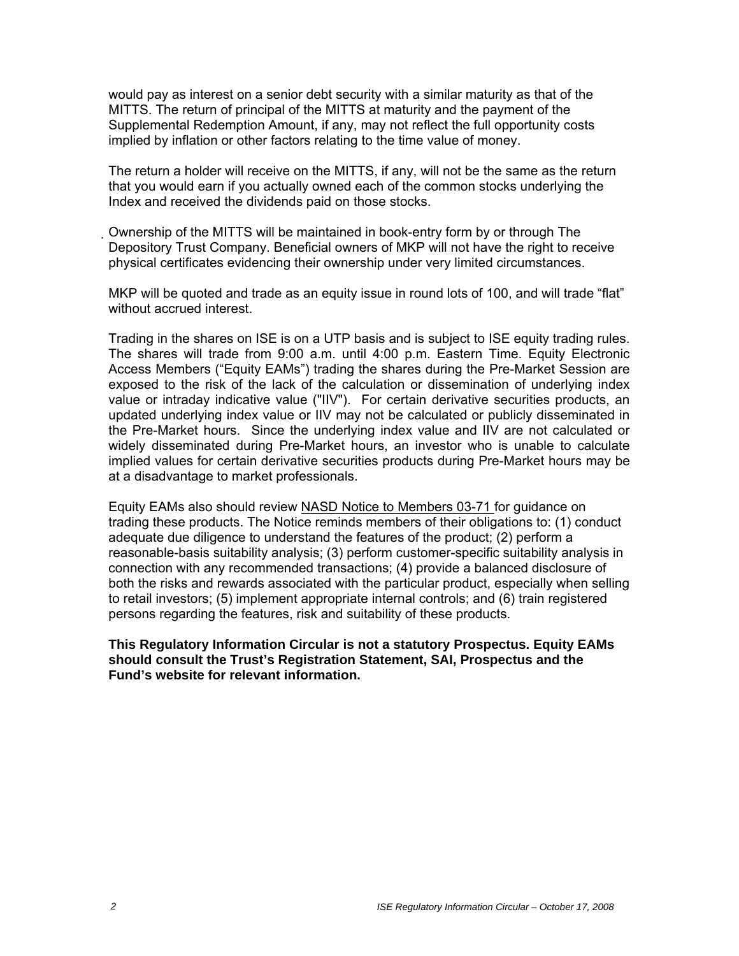would pay as interest on a senior debt security with a similar maturity as that of the MITTS. The return of principal of the MITTS at maturity and the payment of the Supplemental Redemption Amount, if any, may not reflect the full opportunity costs implied by inflation or other factors relating to the time value of money.

The return a holder will receive on the MITTS, if any, will not be the same as the return that you would earn if you actually owned each of the common stocks underlying the Index and received the dividends paid on those stocks.

Ownership of the MITTS will be maintained in book-entry form by or through The Depository Trust Company. Beneficial owners of MKP will not have the right to receive physical certificates evidencing their ownership under very limited circumstances.

MKP will be quoted and trade as an equity issue in round lots of 100, and will trade "flat" without accrued interest.

Trading in the shares on ISE is on a UTP basis and is subject to ISE equity trading rules. The shares will trade from 9:00 a.m. until 4:00 p.m. Eastern Time. Equity Electronic Access Members ("Equity EAMs") trading the shares during the Pre-Market Session are exposed to the risk of the lack of the calculation or dissemination of underlying index value or intraday indicative value ("IIV"). For certain derivative securities products, an updated underlying index value or IIV may not be calculated or publicly disseminated in the Pre-Market hours. Since the underlying index value and IIV are not calculated or widely disseminated during Pre-Market hours, an investor who is unable to calculate implied values for certain derivative securities products during Pre-Market hours may be at a disadvantage to market professionals.

Equity EAMs also should review NASD Notice to Members 03-71 for guidance on trading these products. The Notice reminds members of their obligations to: (1) conduct adequate due diligence to understand the features of the product; (2) perform a reasonable-basis suitability analysis; (3) perform customer-specific suitability analysis in connection with any recommended transactions; (4) provide a balanced disclosure of both the risks and rewards associated with the particular product, especially when selling to retail investors; (5) implement appropriate internal controls; and (6) train registered persons regarding the features, risk and suitability of these products.

**This Regulatory Information Circular is not a statutory Prospectus. Equity EAMs should consult the Trust's Registration Statement, SAI, Prospectus and the Fund's website for relevant information.**